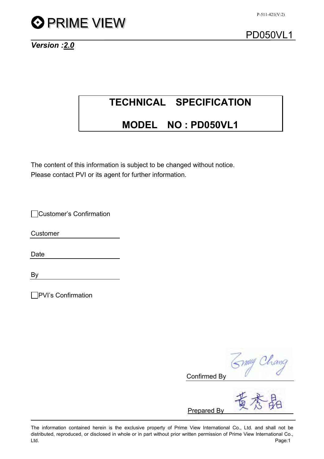

*Version :2.0*

# **TECHNICAL SPECIFICATION**

## **MODEL NO : PD050VL1**

The content of this information is subject to be changed without notice. Please contact PVI or its agent for further information.

Customer's Confirmation

Customer

Date

By

**PVI's Confirmation** 

mmy Chang Confirmed By

Prepared By

The information contained herein is the exclusive property of Prime View International Co., Ltd. and shall not be distributed, reproduced, or disclosed in whole or in part without prior written permission of Prime View International Co., Ltd. Page:1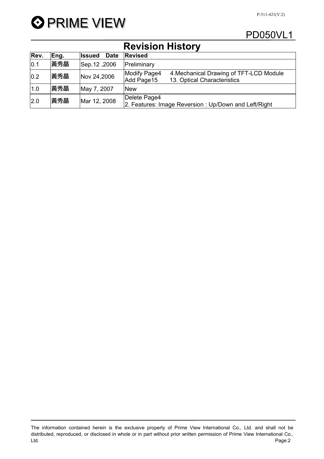



## **Revision History**

| Rev. | Eng. | <b>Date</b><br><b>Issued</b> | <b>Revised</b>                                                                                       |
|------|------|------------------------------|------------------------------------------------------------------------------------------------------|
| 0.1  | 黃秀晶  | Sep.12,2006                  | Preliminary                                                                                          |
| 0.2  | 黃秀晶  | Nov 24,2006                  | Modify Page4<br>4. Mechanical Drawing of TFT-LCD Module<br>Add Page15<br>13. Optical Characteristics |
| 1.0  | 黃秀晶  | May 7, 2007                  | <b>New</b>                                                                                           |
| 2.0  | 黃秀晶  | Mar 12, 2008                 | Delete Page4<br>2. Features: Image Reversion: Up/Down and Left/Right                                 |

The information contained herein is the exclusive property of Prime View International Co., Ltd. and shall not be distributed, reproduced, or disclosed in whole or in part without prior written permission of Prime View International Co., Ltd. Page:2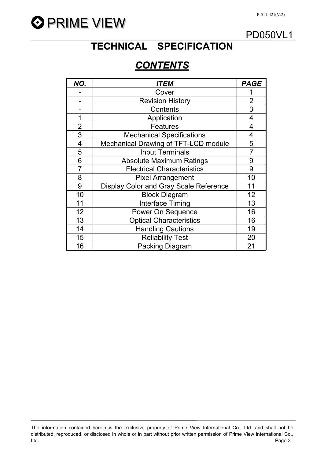

# **TECHNICAL SPECIFICATION**

# *CONTENTS*

| NO.            | <i>ITEM</i>                            | <b>PAGE</b>    |
|----------------|----------------------------------------|----------------|
|                | Cover                                  |                |
|                | <b>Revision History</b>                | $\overline{2}$ |
|                | Contents                               | 3              |
| 1              | Application                            | 4              |
| $\overline{2}$ | <b>Features</b>                        | 4              |
| 3              | <b>Mechanical Specifications</b>       | 4              |
| $\overline{4}$ | Mechanical Drawing of TFT-LCD module   | 5              |
| 5              | <b>Input Terminals</b>                 |                |
| 6              | <b>Absolute Maximum Ratings</b>        | 9              |
| $\overline{7}$ | <b>Electrical Characteristics</b>      | 9              |
| 8              | <b>Pixel Arrangement</b>               | 10             |
| 9              | Display Color and Gray Scale Reference | 11             |
| 10             | <b>Block Diagram</b>                   | 12             |
| 11             | <b>Interface Timing</b>                | 13             |
| 12             | Power On Sequence                      | 16             |
| 13             | <b>Optical Characteristics</b>         | 16             |
| 14             | <b>Handling Cautions</b>               | 19             |
| 15             | <b>Reliability Test</b>                | 20             |
| 16             | <b>Packing Diagram</b>                 | 21             |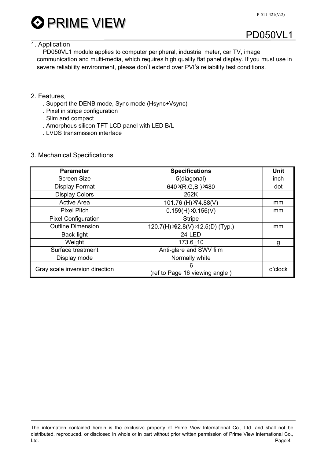

### 1. Application

PD050VL1 module applies to computer peripheral, industrial meter, car TV, image communication and multi-media, which requires high quality flat panel display. If you must use in severe reliability environment, please don't extend over PVI's reliability test conditions.

### 2. Features.

- . Support the DENB mode, Sync mode (Hsync+Vsync)
- . Pixel in stripe configuration
- . Slim and compact
- . Amorphous silicon TFT LCD panel with LED B/L
- . LVDS transmission interface

#### 3. Mechanical Specifications

| <b>Parameter</b>               | <b>Specifications</b>             | <b>Unit</b> |  |
|--------------------------------|-----------------------------------|-------------|--|
| <b>Screen Size</b>             | 5(diagonal)                       | inch        |  |
| <b>Display Format</b>          | 640 XR, G, B ) ×480               | dot         |  |
| <b>Display Colors</b>          | 262K                              |             |  |
| <b>Active Area</b>             | 101.76 (H) × 4.88(V)              | mm          |  |
| <b>Pixel Pitch</b>             | $0.159(H) \times 0.156(V)$        | mm          |  |
| <b>Pixel Configuration</b>     | <b>Stripe</b>                     |             |  |
| <b>Outline Dimension</b>       | 120.7(H) >92.8(V) >12.5(D) (Typ.) | mm          |  |
| Back-light                     | <b>24-LED</b>                     |             |  |
| Weight                         | $173.6 + 10$                      | g           |  |
| Surface treatment              | Anti-glare and SWV film           |             |  |
| Display mode                   | Normally white                    |             |  |
| Gray scale inversion direction | 6                                 | o'clock     |  |
|                                | (ref to Page 16 viewing angle)    |             |  |

The information contained herein is the exclusive property of Prime View International Co., Ltd. and shall not be distributed, reproduced, or disclosed in whole or in part without prior written permission of Prime View International Co., Ltd. Page:4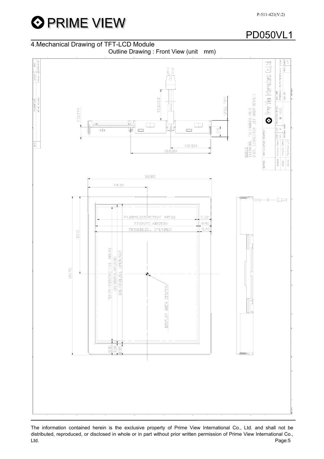

### 4.Mechanical Drawing of TFT-LCD Module

Outline Drawing : Front View (unit mm)



The information contained herein is the exclusive property of Prime View International Co., Ltd. and shall not be distributed, reproduced, or disclosed in whole or in part without prior written permission of Prime View International Co., Ltd. Page:5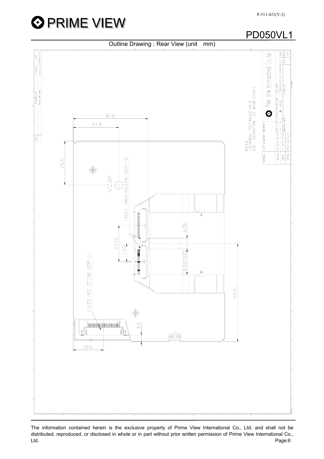



Outline Drawing : Rear View (unit mm)  $\frac{1}{\sqrt{1.5}}$ <br> $\frac{1}{\sqrt{1.5}}$ <br> $\frac{1}{\sqrt{1.5}}$ Prime View International Co.,Ltd. | DVG NAME<br>| PDD50VL1 [UUTLINE(Back V<br>| REV.| <u>NOTES</u><br>1.GENERAL TOLERANCE.:±0.3<br>2.B/L CONNECTOR: JST BHSR-02VS-1 олстам мстна»<br>◆  $\odot$ 45.8 27.9 HEAT & SURFACE TREATMENT  $\overline{\phantom{a}}$ ŝ REV. APROVE Frank S<br>CHECK Frank S<br>DESIGN Patrick Patrick MATERIAL 26.5  $\bigcirc$  $\frac{1}{2}$ - 6.50 22.00  $11.00$ 15.50±0.15 LVDSHRS DF19K-20P-1H 59.01 **Munderment**  $\frac{1}{4}$ Чņ. <u>to or</u> 18.6

The information contained herein is the exclusive property of Prime View International Co., Ltd. and shall not be distributed, reproduced, or disclosed in whole or in part without prior written permission of Prime View International Co., Ltd. Page:6

## PD050VL1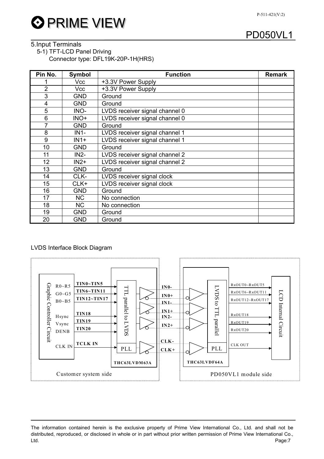

### 5.Input Terminals

5-1) TFT-LCD Panel Driving

Connector type: DFL19K-20P-1H(HRS)

| Pin No.        | Symbol     | <b>Function</b>                | <b>Remark</b> |
|----------------|------------|--------------------------------|---------------|
|                | Vcc        | +3.3V Power Supply             |               |
| $\overline{2}$ | Vcc        | +3.3V Power Supply             |               |
| 3              | GND        | Ground                         |               |
| $\overline{4}$ | <b>GND</b> | Ground                         |               |
| 5              | INO-       | LVDS receiver signal channel 0 |               |
| 6              | INO+       | LVDS receiver signal channel 0 |               |
| $\overline{7}$ | <b>GND</b> | Ground                         |               |
| 8              | $IN1-$     | LVDS receiver signal channel 1 |               |
| 9              | $IN1+$     | LVDS receiver signal channel 1 |               |
| 10             | <b>GND</b> | Ground                         |               |
| 11             | $IN2-$     | LVDS receiver signal channel 2 |               |
| 12             | $IN2+$     | LVDS receiver signal channel 2 |               |
| 13             | <b>GND</b> | Ground                         |               |
| 14             | CLK-       | LVDS receiver signal clock     |               |
| 15             | CLK+       | LVDS receiver signal clock     |               |
| 16             | <b>GND</b> | Ground                         |               |
| 17             | <b>NC</b>  | No connection                  |               |
| 18             | <b>NC</b>  | No connection                  |               |
| 19             | <b>GND</b> | Ground                         |               |
| 20             | GND        | Ground                         |               |

#### LVDS Interface Block Diagram



## PD050VL1

The information contained herein is the exclusive property of Prime View International Co., Ltd. and shall not be distributed, reproduced, or disclosed in whole or in part without prior written permission of Prime View International Co., Ltd. Page:7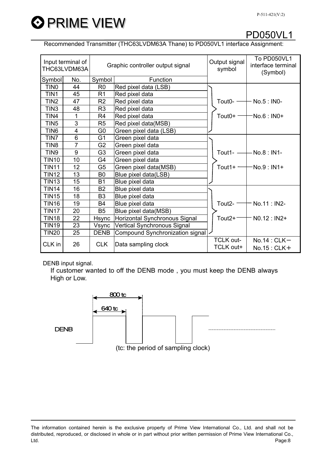

Recommended Transmitter (THC63LVDM63A Thane) to PD050VL1 interface Assignment:

| Input terminal of<br>THC63LVDM63A                 |                  |                               | Graphic controller output signal | Output signal<br>symbol | To PD050VL1<br>interface terminal<br>(Symbol) |
|---------------------------------------------------|------------------|-------------------------------|----------------------------------|-------------------------|-----------------------------------------------|
| Symbol                                            | No.              | Symbol                        | Function                         |                         |                                               |
| TIN <sub>0</sub>                                  | 44               | R <sub>0</sub>                | Red pixel data (LSB)             |                         |                                               |
| TIN1                                              | 45               | R <sub>1</sub>                | Red pixel data                   |                         |                                               |
| TIN <sub>2</sub>                                  | 47               | R <sub>2</sub>                | Red pixel data                   | Tout0- $\rightarrow$    | $-$ No.5 : IN0-                               |
| TIN <sub>3</sub>                                  | 48               | R <sub>3</sub>                | Red pixel data                   |                         |                                               |
| TIN4                                              | 1                | R <sub>4</sub>                | Red pixel data                   | Tout $0+$ $-$           | -No.6 : IN0+                                  |
| TIN <sub>5</sub>                                  | 3                | R <sub>5</sub>                | Red pixel data(MSB)              |                         |                                               |
| TIN <sub>6</sub>                                  | 4                | G <sub>0</sub>                | Green pixel data (LSB)           |                         |                                               |
| TIN7                                              | 6                | G <sub>1</sub>                | Green pixel data                 |                         |                                               |
| TIN <sub>8</sub>                                  | $\overline{7}$   | G <sub>2</sub>                | Green pixel data                 |                         |                                               |
| TIN9                                              | $\boldsymbol{9}$ | G <sub>3</sub>                | Green pixel data                 |                         | Tout1- $-$ No.8 : IN1-                        |
| <b>TIN10</b>                                      | 10               | G4                            | Green pixel data                 |                         |                                               |
| <b>TIN11</b>                                      | 12               | G <sub>5</sub>                | Green pixel data(MSB)            | Tout1+ $-$              | -No.9 : IN1+                                  |
| <b>TIN12</b>                                      | 13               | B <sub>0</sub>                | Blue pixel data(LSB)             |                         |                                               |
| <b>TIN13</b>                                      | 15               | <b>B1</b>                     | Blue pixel data                  |                         |                                               |
| <b>TIN14</b>                                      | 16               | B <sub>2</sub>                | Blue pixel data                  |                         |                                               |
| <b>TIN15</b>                                      | 18               | B <sub>3</sub>                | Blue pixel data                  |                         |                                               |
| <b>TIN16</b>                                      | 19               | <b>B4</b>                     | Blue pixel data                  | Tout <sub>2</sub> - $-$ | No.11: IN2-                                   |
| TIN <sub>17</sub>                                 | 20               | B <sub>5</sub>                | Blue pixel data(MSB)             |                         |                                               |
| <b>TIN18</b>                                      | 22               | Hsync                         | Horizontal Synchronous Signal    | Tout $2+-$              | $NO.12 : IN2+$                                |
| <b>TIN19</b>                                      | 23               | Vsync                         | Vertical Synchronous Signal      |                         |                                               |
| <b>TIN20</b>                                      | 25               | <b>DENB</b>                   | Compound Synchronization signal  |                         |                                               |
| 26<br><b>CLK</b><br>CLK in<br>Data sampling clock |                  | <b>TCLK out-</b><br>TCLK out+ | $No.14:CLK-$<br>$No.15:CLK+$     |                         |                                               |

DENB input signal.

If customer wanted to off the DENB mode , you must keep the DENB always High or Low.



(tc: the period of sampling clock)

The information contained herein is the exclusive property of Prime View International Co., Ltd. and shall not be distributed, reproduced, or disclosed in whole or in part without prior written permission of Prime View International Co., Ltd. Page:8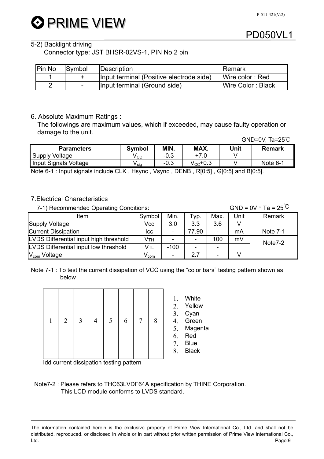# **O PRIME VIEW**

### 5-2) Backlight driving

Connector type: JST BHSR-02VS-1, PIN No 2 pin

| <b>Pin No</b> | Symbol                   | Description                              | <b>IRemark</b>    |
|---------------|--------------------------|------------------------------------------|-------------------|
|               |                          | Input terminal (Positive electrode side) | Wire color: Red   |
| റ             | $\overline{\phantom{a}}$ | Input terminal (Ground side)             | Wire Color: Black |

### 6. Absolute Maximum Ratings :

The followings are maximum values, which if exceeded, may cause faulty operation or damage to the unit.

|                       |        |        |                       |      | GND=0V, $Ta=25^{\circ}C$ |
|-----------------------|--------|--------|-----------------------|------|--------------------------|
| <b>Parameters</b>     | Symbol | MIN.   | MAX.                  | Unit | <b>Remark</b>            |
| Supply Voltage        | V cc   | $-0.3$ | $+7.0$                |      |                          |
| Input Signals Voltage | V sia  | -0.3   | $\rm V_{\rm CC}$ +0.3 |      | Note 6-1                 |

Note 6-1 : Input signals include CLK , Hsync , Vsync , DENB , R[0:5] , G[0:5] and B[0:5].

### 7.Electrical Characteristics

7-1) Recommended Operating Conditions:  $GAD = 0V$ , Ta = 25<sup>℃</sup>

| Item                                   | Symbol | Min.   | Typ.  | Max.                     | Unit | Remark          |
|----------------------------------------|--------|--------|-------|--------------------------|------|-----------------|
| <b>Supply Voltage</b>                  | Vcc    | 3.0    | 3.3   | 3.6                      |      |                 |
| <b>Current Dissipation</b>             | ICC    |        | 77.90 |                          | mA   | <b>Note 7-1</b> |
| LVDS Differential input high threshold | Ѵтн    |        |       | 100                      | mV   | Note7-2         |
| LVDS Differential input low threshold  | Vtl    | $-100$ |       | $\overline{\phantom{0}}$ |      |                 |
| $Vcom$ Voltage                         | Y com  |        | 2.7   |                          |      |                 |

Note 7-1 : To test the current dissipation of VCC using the "color bars" testing pattern shown as below

| $\mathbf{1}$ |  | $2 \mid 3 \mid$ |  | $4 \mid 5 \mid$ | $6 \mid$ | $7\overline{ }$ | 8 |  |
|--------------|--|-----------------|--|-----------------|----------|-----------------|---|--|
|--------------|--|-----------------|--|-----------------|----------|-----------------|---|--|

1. White

- 2. Yellow
- 3. Cyan
- 4. Green
- 5. Magenta
- 6. Red
- 7. Blue
- 8. Black

Idd current dissipation testing pattern

Note7-2 : Please refers to THC63LVDF64A specification by THINE Corporation. This LCD module conforms to LVDS standard.

The information contained herein is the exclusive property of Prime View International Co., Ltd. and shall not be distributed, reproduced, or disclosed in whole or in part without prior written permission of Prime View International Co., Ltd. Page:9

### PD050VL1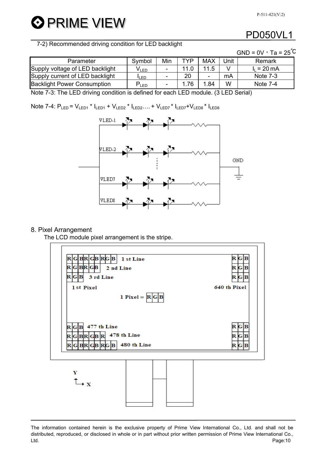**O** PRIME VIEW

## PD050VL1

7-2) Recommended driving condition for LED backlight

|                                    |                  |                          |      |            |      | GND = $0V \cdot Ta = 25^{\circ}C$ |
|------------------------------------|------------------|--------------------------|------|------------|------|-----------------------------------|
| Parameter                          | Symbol           | Min                      | TYP  | <b>MAX</b> | Jnit | Remark                            |
| Supply voltage of LED backlight    | V <sub>led</sub> | $\overline{\phantom{a}}$ |      | 11.5       |      | $I_1 = 20 \text{ mA}$             |
| Supply current of LED backlight    | <b>ILED</b>      | ٠                        | 20   |            | mA   | Note $7-3$                        |
| <b>Backlight Power Consumption</b> | $P_{LED}$        |                          | 1.76 | 1.84       | W    | Note 7-4                          |

Note 7-3: The LED driving condition is defined for each LED module. (3 LED Serial)

Note 7-4:  $P_{LED} = V_{LED1} * I_{LED2} + V_{LED2} * I_{LED2} ... + V_{LED7} * I_{LED8} * I_{LED8}$ 



#### 8. Pixel Arrangement

The LCD module pixel arrangement is the stripe.



The information contained herein is the exclusive property of Prime View International Co., Ltd. and shall not be distributed, reproduced, or disclosed in whole or in part without prior written permission of Prime View International Co., Ltd. Page:10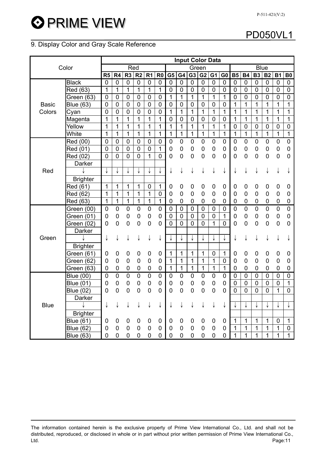**O PRIME VIEW** 

### 9. Display Color and Gray Scale Reference

|              |                  |                |                |                  |                |                  |                |                |                |                | <b>Input Color Data</b> |                  |                |                |                |                  |                |             |                  |
|--------------|------------------|----------------|----------------|------------------|----------------|------------------|----------------|----------------|----------------|----------------|-------------------------|------------------|----------------|----------------|----------------|------------------|----------------|-------------|------------------|
|              | Color            |                |                |                  | Red            |                  |                | Green          |                |                |                         |                  | <b>Blue</b>    |                |                |                  |                |             |                  |
|              |                  | R <sub>5</sub> | R <sub>4</sub> | R3               | R2             | R <sub>1</sub>   | R <sub>0</sub> | G <sub>5</sub> | G4             | G <sub>3</sub> | G <sub>2</sub>          | G <sub>1</sub>   | G <sub>0</sub> | <b>B5</b>      | <b>B4</b>      | <b>B3</b>        | <b>B2</b>      | <b>B1</b>   | <b>B0</b>        |
|              | <b>Black</b>     | $\mathbf 0$    | 0              | $\mathbf 0$      | $\mathbf 0$    | $\mathbf 0$      | $\mathbf 0$    | 0              | 0              | $\mathbf 0$    | 0                       | 0                | $\mathbf 0$    | 0              | 0              | 0                | $\pmb{0}$      | $\mathbf 0$ | $\mathbf 0$      |
|              | Red (63)         | $\mathbf{1}$   | $\overline{1}$ | $\mathbf{1}$     | $\mathbf{1}$   | 1                | $\mathbf{1}$   | $\mathbf 0$    | $\mathbf 0$    | $\pmb{0}$      | $\mathbf 0$             | $\mathbf 0$      | $\pmb{0}$      | 0              | 0              | 0                | $\mathbf 0$    | $\mathbf 0$ | $\mathbf 0$      |
|              | Green $(63)$     | 0              | $\mathbf 0$    | $\mathbf 0$      | $\mathbf 0$    | $\mathbf 0$      | $\mathbf 0$    | 1              | 1              | $\mathbf{1}$   | $\mathbf{1}$            | 1                | $\overline{1}$ | 0              | $\mathbf 0$    | $\mathbf 0$      | $\overline{0}$ | $\mathbf 0$ | $\mathbf 0$      |
| <b>Basic</b> | <b>Blue (63)</b> | 0              | $\mathbf 0$    | $\mathbf 0$      | $\mathbf 0$    | $\mathbf 0$      | $\mathbf 0$    | $\mathbf 0$    | 0              | $\mathbf 0$    | $\overline{0}$          | $\overline{0}$   | $\overline{0}$ | 1              | $\mathbf 1$    | $\mathbf 1$      | 1              | 1           | 1                |
| Colors       | Cyan             | $\overline{0}$ | $\mathbf 0$    | $\mathbf 0$      | $\mathbf 0$    | $\mathbf 0$      | $\overline{0}$ | 1              | 1              | 1              | 1                       | 1                | 1              | 1              | $\mathbf 1$    | 1                | 1              | 1           | 1                |
|              | Magenta          | $\overline{1}$ | $\mathbf{1}$   | $\mathbf{1}$     | 1              | 1                | 1              | $\mathbf 0$    | $\mathbf 0$    | $\mathbf 0$    | $\mathbf 0$             | $\mathbf 0$      | $\overline{0}$ | 1              | 1              | 1                | $\mathbf{1}$   | 1           | $\mathbf{1}$     |
|              | Yellow           | 1              | $\mathbf{1}$   | 1                | $\mathbf{1}$   | $\mathbf{1}$     | $\mathbf 1$    | 1              | 1              | 1              | 1                       | 1                | 1              | 0              | $\overline{0}$ | $\mathbf 0$      | $\overline{0}$ | $\mathbf 0$ | $\mathbf 0$      |
|              | White            | 1              | $\mathbf 1$    | 1                | $\mathbf{1}$   | 1                | 1              | 1              | 1              | $\mathbf{1}$   | 1                       | 1                | $\overline{1}$ | $\mathbf 1$    | $\mathbf{1}$   | $\mathbf{1}$     | $\mathbf{1}$   | 1           | $\mathbf{1}$     |
|              | Red (00)         | $\overline{0}$ | $\pmb{0}$      | $\boldsymbol{0}$ | $\mathbf 0$    | $\mathbf 0$      | $\pmb{0}$      | $\pmb{0}$      | 0              | $\pmb{0}$      | $\overline{0}$          | $\boldsymbol{0}$ | $\overline{0}$ | 0              | 0              | 0                | 0              | $\pmb{0}$   | $\overline{0}$   |
|              | Red (01)         | $\overline{0}$ | $\overline{0}$ | $\boldsymbol{0}$ | $\overline{0}$ | $\boldsymbol{0}$ | $\mathbf{1}$   | $\mathbf 0$    | $\overline{0}$ | $\pmb{0}$      | $\overline{0}$          | $\boldsymbol{0}$ | $\mathbf 0$    | $\mathbf 0$    | 0              | 0                | $\overline{0}$ | $\mathbf 0$ | $\boldsymbol{0}$ |
|              | Red (02)         | $\overline{0}$ | $\overline{0}$ | $\overline{0}$   | $\overline{0}$ | 1                | 0              | $\mathbf 0$    | $\mathbf 0$    | $\pmb{0}$      | $\mathbf 0$             | $\boldsymbol{0}$ | $\mathbf 0$    | 0              | $\mathbf 0$    | $\boldsymbol{0}$ | $\mathbf 0$    | $\pmb{0}$   | $\mathbf 0$      |
|              | Darker           |                |                |                  |                |                  |                |                |                |                |                         |                  |                |                |                |                  |                |             |                  |
| Red          |                  | ↓              | ↓              |                  |                |                  |                | ↓              | ↓              | ↓              | ↓                       | ↓                | ↓              | ↓              |                | ↓                | ↓              | ↓           |                  |
|              | <b>Brighter</b>  |                |                |                  |                |                  |                |                |                |                |                         |                  |                |                |                |                  |                |             |                  |
|              | Red (61)         | 1              | 1              | 1                | 1              | $\mathbf 0$      | 1              | 0              | 0              | 0              | 0                       | 0                | 0              | 0              | 0              | 0                | 0              | 0           | 0                |
|              | Red (62)         | 1              | 1              | 1                | 1              | 1                | $\pmb{0}$      | $\mathbf 0$    | 0              | $\mathbf 0$    | $\mathbf 0$             | $\mathbf 0$      | $\mathbf 0$    | 0              | 0              | $\mathbf 0$      | $\mathbf 0$    | $\mathbf 0$ | $\mathbf 0$      |
|              | Red (63)         | 1              | $\mathbf{1}$   | $\mathbf{1}$     | $\mathbf{1}$   | $\mathbf{1}$     | $\mathbf{1}$   | 0              | 0              | 0              | 0                       | 0                | $\overline{0}$ | 0              | 0              | 0                | 0              | $\mathbf 0$ | $\mathbf 0$      |
|              | Green (00)       | 0              | 0              | 0                | 0              | $\mathbf 0$      | $\mathbf 0$    | 0              | 0              | 0              | 0                       | $\boldsymbol{0}$ | 0              | 0              | 0              | 0                | 0              | $\mathbf 0$ | $\mathbf 0$      |
|              | Green (01)       | 0              | 0              | 0                | 0              | 0                | $\mathbf 0$    | 0              | $\mathbf 0$    | 0              | 0                       | $\mathbf 0$      | 1              | 0              | 0              | 0                | 0              | 0           | 0                |
|              | Green (02)       | 0              | 0              | 0                | 0              | $\mathbf 0$      | $\mathbf 0$    | 0              | $\overline{0}$ | $\mathbf 0$    | $\overline{0}$          | 1                | 0              | 0              | $\overline{0}$ | 0                | $\mathbf 0$    | $\mathbf 0$ | 0                |
|              | Darker           |                |                |                  |                |                  |                |                |                |                |                         |                  |                |                |                |                  |                |             |                  |
| Green        |                  | ↓              | ↓              |                  |                | ↓                | ↓              |                | ↓              | ↓              | ↓                       | ↓                | ↓              | ↓              |                | ↓                |                | ↓           |                  |
|              | <b>Brighter</b>  |                |                |                  |                |                  |                |                |                |                |                         |                  |                |                |                |                  |                |             |                  |
|              | Green (61)       | 0              | 0              | 0                | 0              | 0                | $\mathbf 0$    | 1              | 1              | 1              | 1                       | 0                | $\mathbf{1}$   | 0              | 0              | 0                | 0              | 0           | $\mathbf 0$      |
|              | Green (62)       | 0              | 0              | 0                | $\mathbf 0$    | $\mathbf 0$      | $\mathbf 0$    | 1              | 1              | 1              | 1                       | 1                | $\mathsf 0$    | $\mathbf 0$    | 0              | $\boldsymbol{0}$ | $\overline{0}$ | $\mathbf 0$ | $\mathbf 0$      |
|              | Green (63)       | 0              | 0              | 0                | $\mathbf 0$    | $\mathbf 0$      | $\pmb{0}$      | 1              | 1              | 1              | 1                       | 1                | 1              | 0              | $\overline{0}$ | 0                | 0              | $\mathbf 0$ | 0                |
|              | <b>Blue (00)</b> | 0              | $\mathbf 0$    | $\mathbf 0$      | $\mathbf 0$    | $\mathbf 0$      | $\mathbf 0$    | $\mathbf 0$    | $\mathbf 0$    | $\overline{0}$ | $\mathbf 0$             | $\mathbf 0$      | $\mathbf 0$    | 0              | 0              | 0                | $\mathbf 0$    | $\mathbf 0$ | $\mathbf 0$      |
|              | <b>Blue (01)</b> | 0              | 0              | 0                | 0              | $\boldsymbol{0}$ | $\mathbf 0$    | $\mathbf 0$    | 0              | $\pmb{0}$      | $\mathbf 0$             | $\mathbf 0$      | $\mathbf 0$    | 0              | 0              | 0                | $\mathbf 0$    | $\mathbf 0$ | 1                |
|              | <b>Blue (02)</b> | 0              | 0              | $\mathbf 0$      | 0              | $\mathbf 0$      | $\mathbf 0$    | $\mathbf 0$    | $\overline{0}$ | $\mathbf 0$    | 0                       | $\mathbf 0$      | $\mathbf 0$    | $\overline{0}$ | $\overline{0}$ | $\mathbf 0$      | $\overline{0}$ | 1           | $\mathbf 0$      |
|              | Darker           |                |                |                  |                |                  |                |                |                |                |                         |                  |                |                |                |                  |                |             |                  |
| <b>Blue</b>  |                  | ↓              |                |                  |                | ↓                | ↓              |                |                | ↓              |                         | ↓                | ↓              |                |                |                  |                | ↓           |                  |
|              | <b>Brighter</b>  |                |                |                  |                |                  |                |                |                |                |                         |                  |                |                |                |                  |                |             |                  |
|              | <b>Blue (61)</b> | 0              | 0              | 0                | 0              | 0                | 0              | 0              | 0              | 0              | 0                       | 0                | 0              | 1              | 1              | $\mathbf{1}$     | 1              | $\mathbf 0$ | $\mathbf{1}$     |
|              | Blue (62)        | 0              | 0              | 0                | 0              | 0                | 0              | 0              | 0              | 0              | 0                       | 0                | 0              | 1              | 1              | $\mathbf{1}$     | 1              | 1           | $\mathbf 0$      |
|              | <b>Blue (63)</b> | 0              | $\mathbf 0$    | 0                | $\mathbf 0$    | $\mathbf 0$      | $\mathbf 0$    | $\mathbf 0$    | $\overline{0}$ | 0              | 0                       | $\mathbf 0$      | $\mathbf 0$    | 1              | $\mathbf 1$    | $\mathbf 1$      | $\mathbf 1$    | 1           | 1                |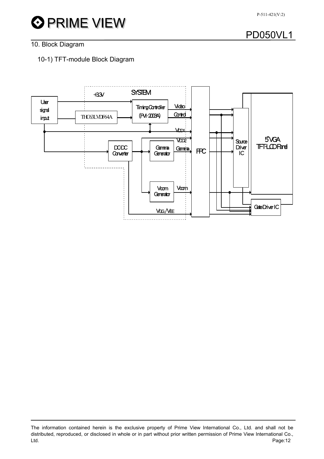# **O** PRIME VIEW

# PD050VL1

### 10. Block Diagram

### 10-1) TFT-module Block Diagram



The information contained herein is the exclusive property of Prime View International Co., Ltd. and shall not be distributed, reproduced, or disclosed in whole or in part without prior written permission of Prime View International Co., Ltd. Page:12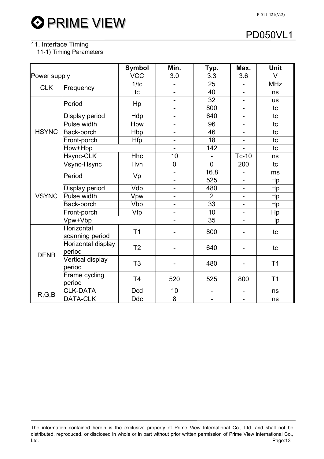### 11. Interface Timing

11-1) Timing Parameters

|              |                               | <b>Symbol</b>  | Min.                     | Typ.                     | Max.                     | <b>Unit</b>    |  |
|--------------|-------------------------------|----------------|--------------------------|--------------------------|--------------------------|----------------|--|
| Power supply |                               | <b>VCC</b>     | 3.0                      | 3.3                      | 3.6                      | V              |  |
| <b>CLK</b>   |                               | 1/tc           |                          | 25                       | $\overline{a}$           | <b>MHz</b>     |  |
|              | Frequency                     | tc             | $\overline{\phantom{a}}$ | 40                       | $\overline{\phantom{0}}$ | ns             |  |
|              | Period                        |                | $\overline{\phantom{a}}$ | 32                       |                          | <b>us</b>      |  |
|              |                               | Hp             | $\blacksquare$           | 800                      | $\overline{\phantom{0}}$ | tc             |  |
|              | Display period                | Hdp            | $\overline{\phantom{0}}$ | 640                      | -                        | tc             |  |
|              | Pulse width                   | Hpw            | $\overline{\phantom{0}}$ | 96                       | $\overline{a}$           | tc             |  |
| <b>HSYNC</b> | Back-porch                    | Hbp            | $\overline{\phantom{0}}$ | 46                       | $\overline{\phantom{0}}$ | tc             |  |
|              | Front-porch                   | <b>Hfp</b>     | $\blacksquare$           | 18                       | $\qquad \qquad -$        | tc             |  |
|              | Hpw+Hbp                       |                |                          | 142                      |                          | tc             |  |
|              | Hsync-CLK                     | <b>Hhc</b>     | 10                       |                          | Tc-10                    | ns             |  |
|              | Vsync-Hsync                   | Hvh            | $\mathbf 0$              | $\overline{0}$           | 200                      | tc             |  |
|              | Period                        | Vp             | $\overline{\phantom{a}}$ | 16.8                     | $\blacksquare$           | ms             |  |
|              |                               |                | $\overline{\phantom{0}}$ | 525                      |                          | Hp             |  |
|              | Display period                | Vdp            | $\blacksquare$           | 480                      | $\overline{\phantom{0}}$ | Hp             |  |
| <b>VSYNC</b> | Pulse width                   | Vpw            |                          | $\overline{2}$           |                          | Hp             |  |
|              | Back-porch                    | Vbp            | $\overline{\phantom{0}}$ | 33                       | $\overline{\phantom{0}}$ | Hp             |  |
|              | Front-porch                   | Vfp            |                          | 10                       | -                        | Hp             |  |
|              | Vpw+Vbp                       |                |                          | 35                       |                          | Hp             |  |
|              | Horizontal<br>scanning period | T <sub>1</sub> |                          | 800                      |                          | tc             |  |
| <b>DENB</b>  | Horizontal display<br>period  | T <sub>2</sub> |                          | 640                      |                          | tc             |  |
|              | Vertical display<br>period    | T <sub>3</sub> |                          | 480                      |                          | T <sub>1</sub> |  |
|              | Frame cycling<br>period       | T <sub>4</sub> | 520                      | 525                      | 800                      | T <sub>1</sub> |  |
| R, G, B      | <b>CLK-DATA</b>               | <b>Dcd</b>     | 10                       | $\overline{\phantom{0}}$ | $\overline{\phantom{0}}$ | ns             |  |
|              | DATA-CLK                      | <b>Ddc</b>     | 8                        | $\overline{\phantom{0}}$ | $\qquad \qquad -$        | ns             |  |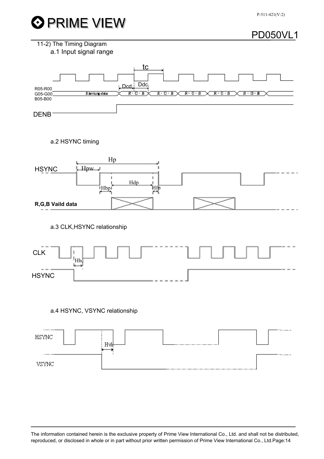

P-511-421(V:2)

### PD050VL1





#### a.2 HSYNC timing



a.3 CLK,HSYNC relationship



### a.4 HSYNC, VSYNC relationship

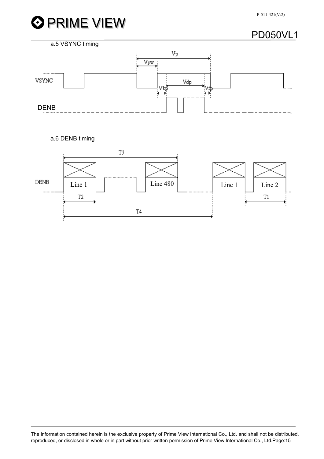



a.6 DENB timing

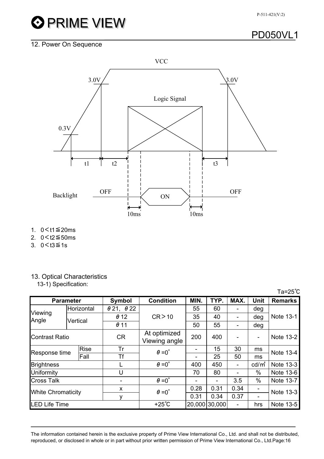

# **OPRIME VIEW**

## PD050VL1

### 12. Power On Sequence



- 1. 0<t1≦20ms
- 2. 0<t2≦50ms
- 3.  $0 < t3 ≤ 1s$

### 13. Optical Characteristics

13-1) Specification:

| $Ta = 25^{\circ}C$                   |          |            |                               |                  |                          |      |                   |             |                |  |
|--------------------------------------|----------|------------|-------------------------------|------------------|--------------------------|------|-------------------|-------------|----------------|--|
| <b>Parameter</b>                     |          |            | Symbol                        | <b>Condition</b> | MIN.                     | TYP. | MAX.              | <b>Unit</b> | <b>Remarks</b> |  |
| Viewing<br>Angle                     |          | Horizontal | $\theta$ 21, $\theta$ 22      |                  | 55                       | 60   | $\blacksquare$    | deg         |                |  |
|                                      | Vertical |            | $\theta$ 12                   | CR > 10          | 35                       | 40   | $\blacksquare$    | deg         | Note 13-1      |  |
|                                      |          |            | $\theta$ 11                   |                  | 50                       | 55   | -                 | deg         |                |  |
| <b>Contrast Ratio</b>                |          | <b>CR</b>  | At optimized<br>Viewing angle | 200              | 400                      | ۰    | ۰                 | Note 13-2   |                |  |
| <b>Rise</b><br>Response time<br>Fall |          | Tr         | $\theta = 0^{\circ}$          |                  | 15                       | 30   | ms                | Note 13-4   |                |  |
|                                      |          |            | Tf                            |                  |                          | 25   | 50                | ms          |                |  |
| <b>Brightness</b>                    |          |            | $\theta = 0^{\circ}$          | 400              | 450                      | ۰    | cd/m <sup>2</sup> | Note 13-3   |                |  |
| Uniformity                           |          | U          |                               | 70               | 80                       |      | $\%$              | Note 13-6   |                |  |
| <b>Cross Talk</b>                    |          |            | $\theta = 0^{\circ}$          |                  | $\overline{\phantom{a}}$ | 3.5  | $\%$              | Note 13-7   |                |  |
| <b>White Chromaticity</b>            |          | X          | $\theta = 0^{\circ}$          | 0.28             | 0.31                     | 0.34 |                   | Note 13-3   |                |  |
|                                      |          |            | v                             |                  | 0.31                     | 0.34 | 0.37              |             |                |  |
| <b>LED Life Time</b>                 |          |            | $+25^{\circ}$ C               |                  | 20,000 30,000            | ۰    | hrs               | Note 13-5   |                |  |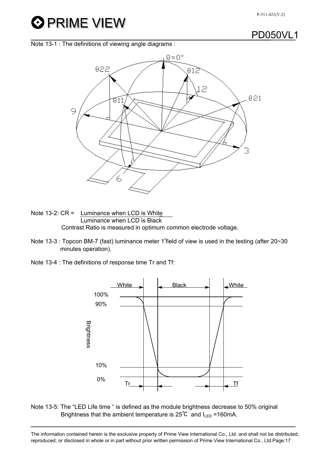# **O PRIME VIEW**

### PD050VL1

Note 13-1 : The definitions of viewing angle diagrams :



Note 13-2:  $CR =$  Luminance when LCD is White Luminance when LCD is Black Contrast Ratio is measured in optimum common electrode voltage.

- Note 13-3 : Topcon BM-7 (fast) luminance meter 1∘field of view is used in the testing (after 20~30 minutes operation).
- Note 13-4 : The definitions of response time Tr and Tf:



Note 13-5: The "LED Life time " is defined as the module brightness decrease to 50% original Brightness that the ambient temperature is  $25^{\circ}C$  and  $I_{\text{LED}}$  =160mA.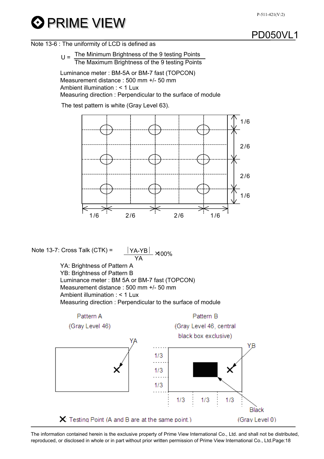#### P-511-421(V:2)

# **O PRIME VIEW**

### PD050VL1

#### Note 13-6 : The uniformity of LCD is defined as

 $U = \frac{\text{The Minimum Briggs of the 9 testing Points}}{\text{The Number of the 9 testing.}$ The Maximum Brightness of the 9 testing Points

Luminance meter : BM-5A or BM-7 fast (TOPCON) Measurement distance : 500 mm +/- 50 mm Ambient illumination  $\cdot$  < 1 Lux Measuring direction : Perpendicular to the surface of module

The test pattern is white (Gray Level 63).



Note 13-7: Cross Talk  $(CTK) =$ ×100%

YA YA: Brightness of Pattern A YB: Brightness of Pattern B Luminance meter : BM 5A or BM-7 fast (TOPCON) Measurement distance : 500 mm +/- 50 mm Ambient illumination : < 1 Lux Measuring direction : Perpendicular to the surface of module

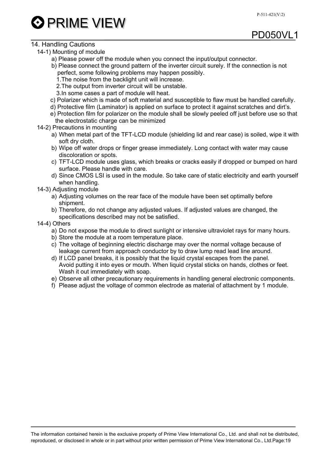

#### 14. Handling Cautions

- 14-1) Mounting of module
	- a) Please power off the module when you connect the input/output connector.
	- b) Please connect the ground pattern of the inverter circuit surely. If the connection is not perfect, some following problems may happen possibly.
		- 1.The noise from the backlight unit will increase.
		- 2.The output from inverter circuit will be unstable.
		- 3.In some cases a part of module will heat.
	- c) Polarizer which is made of soft material and susceptible to flaw must be handled carefully.
	- d) Protective film (Laminator) is applied on surface to protect it against scratches and dirt's.
	- e) Protection film for polarizer on the module shall be slowly peeled off just before use so that the electrostatic charge can be minimized
- 14-2) Precautions in mounting
	- a) When metal part of the TFT-LCD module (shielding lid and rear case) is soiled, wipe it with soft dry cloth.
	- b) Wipe off water drops or finger grease immediately. Long contact with water may cause discoloration or spots.
	- c) TFT-LCD module uses glass, which breaks or cracks easily if dropped or bumped on hard surface. Please handle with care.
	- d) Since CMOS LSI is used in the module. So take care of static electricity and earth yourself when handling.
- 14-3) Adjusting module
	- a) Adjusting volumes on the rear face of the module have been set optimally before shipment.
	- b) Therefore, do not change any adjusted values. If adjusted values are changed, the specifications described may not be satisfied.

#### 14-4) Others

- a) Do not expose the module to direct sunlight or intensive ultraviolet rays for many hours.
- b) Store the module at a room temperature place.
- c) The voltage of beginning electric discharge may over the normal voltage because of leakage current from approach conductor by to draw lump read lead line around.
- d) If LCD panel breaks, it is possibly that the liquid crystal escapes from the panel. Avoid putting it into eyes or mouth. When liquid crystal sticks on hands, clothes or feet. Wash it out immediately with soap.
- e) Observe all other precautionary requirements in handling general electronic components.
- f) Please adjust the voltage of common electrode as material of attachment by 1 module.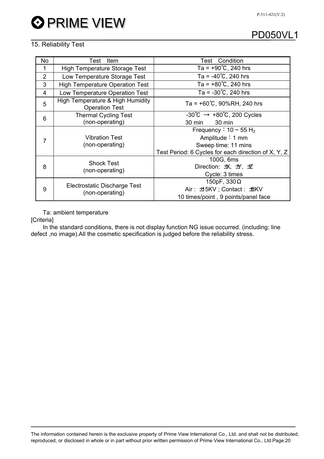### 15. Reliability Test

| <b>No</b>      | Test<br>Item                                              | <b>Test</b> Condition                                   |  |  |  |  |  |
|----------------|-----------------------------------------------------------|---------------------------------------------------------|--|--|--|--|--|
| 1              | <b>High Temperature Storage Test</b>                      | Ta = $+90^{\circ}$ C, 240 hrs                           |  |  |  |  |  |
| $\overline{2}$ | Low Temperature Storage Test                              | Ta = $-40^{\circ}$ C, 240 hrs                           |  |  |  |  |  |
| 3              | <b>High Temperature Operation Test</b>                    | Ta = $+80^{\circ}$ C, 240 hrs                           |  |  |  |  |  |
| $\overline{4}$ | Low Temperature Operation Test                            | Ta = $-30^{\circ}$ C, 240 hrs                           |  |  |  |  |  |
| 5              | High Temperature & High Humidity<br><b>Operation Test</b> | Ta = $+60^{\circ}$ C, 90%RH, 240 hrs                    |  |  |  |  |  |
| 6              | <b>Thermal Cycling Test</b>                               | $-30^{\circ}$ C $\rightarrow +80^{\circ}$ C, 200 Cycles |  |  |  |  |  |
|                | (non-operating)                                           | 30 min<br>30 min                                        |  |  |  |  |  |
| 7              |                                                           | Frequency : $10 \sim 55$ H <sub>z</sub>                 |  |  |  |  |  |
|                | <b>Vibration Test</b><br>(non-operating)                  | Amplitude $: 1$ mm                                      |  |  |  |  |  |
|                |                                                           | Sweep time: 11 mins                                     |  |  |  |  |  |
|                |                                                           | Test Period: 6 Cycles for each direction of X, Y, Z     |  |  |  |  |  |
| 8              | <b>Shock Test</b>                                         | 100G, 6ms                                               |  |  |  |  |  |
|                | (non-operating)                                           | Direction: 坎, 五, ヹ                                      |  |  |  |  |  |
|                |                                                           | Cycle: 3 times                                          |  |  |  |  |  |
| 9              |                                                           | 150pF, $330\Omega$                                      |  |  |  |  |  |
|                | Electrostatic Discharge Test<br>(non-operating)           | Air: ±15KV; Contact: ±8KV                               |  |  |  |  |  |
|                |                                                           | 10 times/point, 9 points/panel face                     |  |  |  |  |  |

Ta: ambient temperature

[Criteria]

In the standard conditions, there is not display function NG issue occurred. (including: line defect ,no image).All the cosmetic specification is judged before the reliability stress.